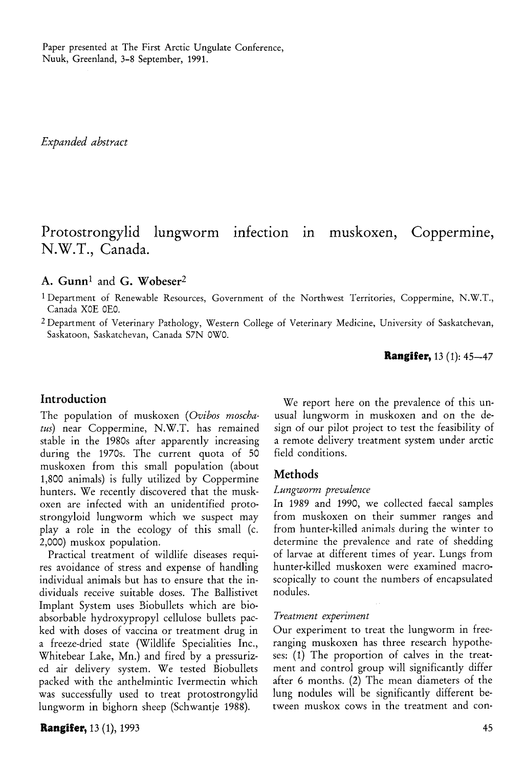Paper presented at The First Arctic Ungulate Conference, Nuuk, Greenland, 3-8 September, 1991.

*Expanded abstract* 

# Protostrongylid lungworm infection in muskoxen, Coppermine, N.W.T., Canada.

# **A. Gunn<sup>1</sup>** and **G. Wobeser<sup>2</sup>**

1 Department of Renewable Resources, Government of the Northwest Territories, Coppermine, N.W.T., Canada XOE 0E0.

2 Department of Veterinary Pathology, Western College of Veterinary Medicine, University of Saskatchevan, Saskatoon, Saskatchevan, Canada S7N 0W0.

### **Rangifer,** 13 (1): 45-47

### **Introduction**

The population of muskoxen *{Ovibos moschatus)* near Coppermine, N.W.T. has remained stable in the 1980s after apparently increasing during the 1970s. The current quota of 50 muskoxen from this small population (about 1,800 animals) is fully utilized by Coppermine hunters. We recently discovered that the muskoxen are infected with an unidentified protostrongyloid lungworm which we suspect may play a role in the ecology of this small (c. 2,000) muskox population.

Practical treatment of wildlife diseases requires avoidance of stress and expense of handling individual animals but has to ensure that the individuals receive suitable doses. The Ballistivet Implant System uses Biobullets which are bioabsorbable hydroxypropyl cellulose bullets packed with doses of vaccina or treatment drug in a freeze-dried state (Wildlife Specialities Inc., Whitebear Lake, Mn.) and fired by a pressurized air delivery system. We tested Biobullets packed with the anthelmintic Ivermectin which was successfully used to treat protostrongylid lungworm in bighorn sheep (Schwantje 1988).

### **Rangifer,** 13 (1), 1993 45

We report here on the prevalence of this unusual lungworm in muskoxen and on the design of our pilot project to test the feasibility of a remote delivery treatment system under arctic field conditions.

### **Methods**

#### *Lungworm prevalence*

In 1989 and 1990, we collected faecal samples from muskoxen on their summer ranges and from hunter-killed animals during the winter to determine the prevalence and rate of shedding of larvae at different times of year. Lungs from hunter-killed muskoxen were examined macroscopically to count the numbers of encapsulated nodules.

#### *Treatment experiment*

Our experiment to treat the lungworm in freeranging muskoxen has three research hypotheses: (1) The proportion of calves in the treatment and control group will significantly differ after 6 months. (2) The mean diameters of the lung nodules will be significantly different between muskox cows in the treatment and con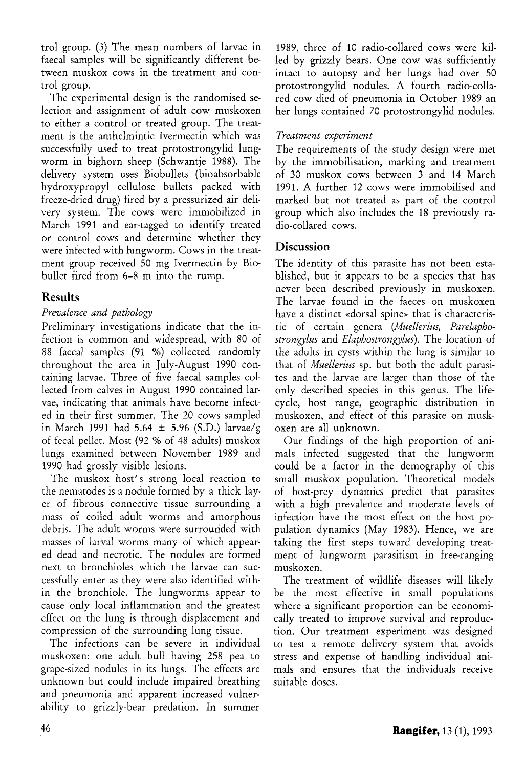trol group. (3) The mean numbers of larvae in faecal samples will be significantly different between muskox cows in the treatment and control group.

The experimental design is the randomised selection and assignment of adult cow muskoxen to either a control or treated group. The treatment is the anthelmintic Ivermectin which was successfully used to treat protostrongylid lungworm in bighorn sheep (Schwantje 1988). The delivery system uses Biobullets (bioabsorbable hydroxypropyl cellulose bullets packed with freeze-dried drug) fired by a pressurized air delivery system. The cows were immobilized in March 1991 and ear-tagged to identify treated or control cows and determine whether they were infected with lungworm. Cows in the treatment group received 50 mg Ivermectin by Biobullet fired from 6-8 m into the rump.

# **Results**

### *Prevalence and pathology*

Preliminary investigations indicate that the infection is common and widespread, with 80 of 88 faecal samples (91 %) collected randomly throughout the area in July-August 1990 containing larvae. Three of five faecal samples collected from calves in August 1990 contained larvae, indicating that animals have become infected in their first summer. The 20 cows sampled in March 1991 had 5.64  $\pm$  5.96 (S.D.) larvae/g of fecal pellet. Most (92 % of 48 adults) muskox lungs examined between November 1989 and 1990 had grossly visible lesions.

The muskox host's strong local reaction to the nematodes is a nodule formed by a thick layer of fibrous connective tissue surrounding a mass of coiled adult worms and amorphous debris. The adult worms were surrounded with masses of larval worms many of which appeared dead and necrotic. The nodules are formed next to bronchioles which the larvae can successfully enter as they were also identified within the bronchiole. The lungworms appear to cause only local inflammation and the greatest effect on the lung is through displacement and compression of the surrounding lung tissue.

The infections can be severe in individual muskoxen: one adult bull having 258 pea to grape-sized nodules in its lungs. The effects are unknown but could include impaired breathing and pneumonia and apparent increased vulnerability to grizzly-bear predation. In summer

1989, three of 10 radio-collared cows were killed by grizzly bears. One cow was sufficiently intact to autopsy and her lungs had over 50 protostrongylid nodules. A fourth radio-collared cow died of pneumonia in October 1989 an her lungs contained 70 protostrongylid nodules.

### *Treatment experiment*

The requirements of the study design were met by the immobilisation, marking and treatment of 30 muskox cows between 3 and 14 March 1991. A further 12 cows were immobilised and marked but not treated as part of the control group which also includes the 18 previously radio-collared cows.

# **Discussion**

The identity of this parasite has not been established, but it appears to be a species that has never been described previously in muskoxen. The larvae found in the faeces on muskoxen have a distinct «dorsal spine» that is characteristic of certain genera *{Muellerius, Parelaphostrongylus* and *Elaphostrongylus).* The location of the adults in *cysts* within the lung is similar to that of *Muellerius* sp. but both the adult parasites and the larvae are larger than those of the only described species in this genus. The lifecycle, host range, geographic distribution in muskoxen, and effect of this parasite on muskoxen are all unknown.

Our findings of the high proportion of animals infected suggested that the lungworm could be a factor in the demography of this small muskox population. Theoretical models of host-prey dynamics predict that parasites with a high prevalence and moderate levels of infection have the most effect on the host population dynamics (May 1983). Hence, we are taking the first steps toward developing treatment of lungworm parasitism in free-ranging muskoxen.

The treatment of wildlife diseases will likely be the most effective in small populations where a significant proportion can be economically treated to improve survival and reproduction. Our treatment experiment was designed to test a remote delivery system that avoids stress and expense of handling individual animals and ensures that the individuals receive suitable doses.